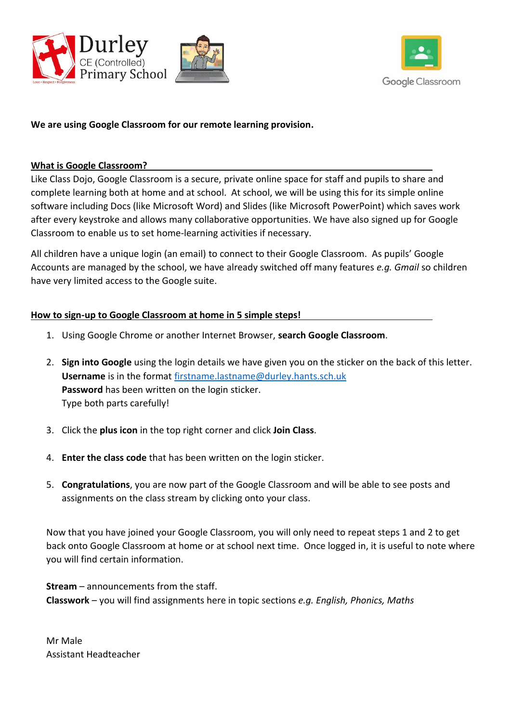



## **We are using Google Classroom for our remote learning provision.**

## **What is Google Classroom?**

Like Class Dojo, Google Classroom is a secure, private online space for staff and pupils to share and complete learning both at home and at school. At school, we will be using this for its simple online software including Docs (like Microsoft Word) and Slides (like Microsoft PowerPoint) which saves work after every keystroke and allows many collaborative opportunities. We have also signed up for Google Classroom to enable us to set home-learning activities if necessary.

All children have a unique login (an email) to connect to their Google Classroom. As pupils' Google Accounts are managed by the school, we have already switched off many features *e.g. Gmail* so children have very limited access to the Google suite.

## **How to sign-up to Google Classroom at home in 5 simple steps!**

- 1. Using Google Chrome or another Internet Browser, **search Google Classroom**.
- 2. **Sign into Google** using the login details we have given you on the sticker on the back of this letter. **Username** is in the format [firstname.lastname@durley.hants.sch.uk](mailto:firstname.lastname@durley.hants.sch.uk) **Password** has been written on the login sticker. Type both parts carefully!
- 3. Click the **plus icon** in the top right corner and click **Join Class**.
- 4. **Enter the class code** that has been written on the login sticker.
- 5. **Congratulations**, you are now part of the Google Classroom and will be able to see posts and assignments on the class stream by clicking onto your class.

Now that you have joined your Google Classroom, you will only need to repeat steps 1 and 2 to get back onto Google Classroom at home or at school next time. Once logged in, it is useful to note where you will find certain information.

**Stream** – announcements from the staff. **Classwork** – you will find assignments here in topic sections *e.g. English, Phonics, Maths*

Mr Male Assistant Headteacher